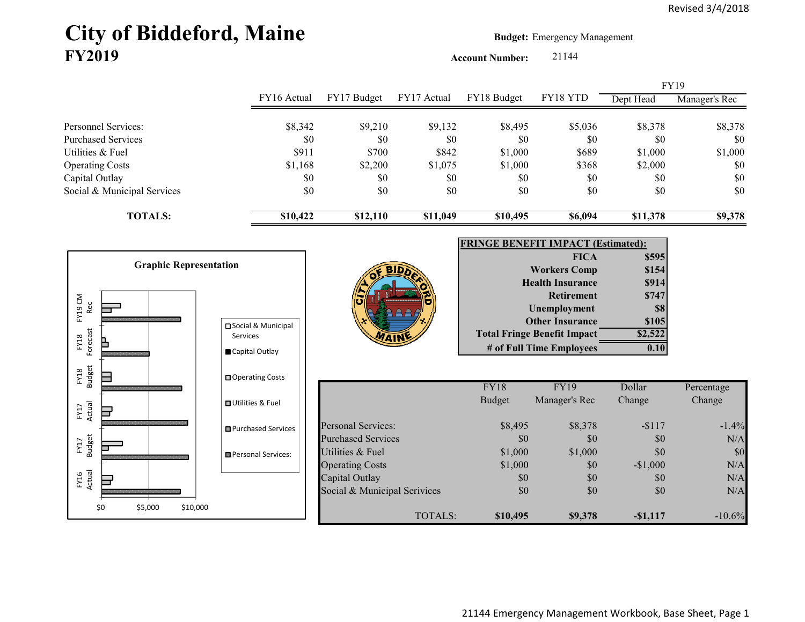# City of Biddeford, Maine **Budget: Emergency Management FY2019**

\$0 \$5,000 \$10,000

**Account Number:** 21144

|                                                                                       |                                                                         |                                      |             |                                           |                                                                                                                                                                                                |                                                                     | <b>FY19</b>                            |
|---------------------------------------------------------------------------------------|-------------------------------------------------------------------------|--------------------------------------|-------------|-------------------------------------------|------------------------------------------------------------------------------------------------------------------------------------------------------------------------------------------------|---------------------------------------------------------------------|----------------------------------------|
|                                                                                       | FY16 Actual                                                             | FY17 Budget                          | FY17 Actual | FY18 Budget                               | FY18 YTD                                                                                                                                                                                       | Dept Head                                                           | Manager's Rec                          |
| Personnel Services:                                                                   | \$8,342                                                                 | \$9,210                              | \$9,132     | \$8,495                                   | \$5,036                                                                                                                                                                                        | \$8,378                                                             | \$8,378                                |
| <b>Purchased Services</b>                                                             | \$0                                                                     | \$0                                  | \$0         | \$0                                       | \$0                                                                                                                                                                                            | \$0                                                                 | \$0                                    |
| Utilities & Fuel                                                                      | \$911                                                                   | \$700                                | \$842       | \$1,000                                   | \$689                                                                                                                                                                                          | \$1,000                                                             | \$1,000                                |
| <b>Operating Costs</b>                                                                | \$1,168                                                                 | \$2,200                              | \$1,075     | \$1,000                                   | \$368                                                                                                                                                                                          | \$2,000                                                             | \$0                                    |
| Capital Outlay                                                                        | \$0                                                                     | \$0                                  | \$0         | \$0                                       | \$0                                                                                                                                                                                            | \$0                                                                 | $\$0$                                  |
| Social & Municipal Services                                                           | \$0                                                                     | \$0                                  | \$0         | \$0                                       | \$0                                                                                                                                                                                            | \$0                                                                 | \$0                                    |
| <b>TOTALS:</b>                                                                        | \$10,422                                                                | \$12,110                             | \$11,049    | \$10,495                                  | \$6,094                                                                                                                                                                                        | \$11,378                                                            | \$9,378                                |
| <b>Graphic Representation</b><br>FY19 CM<br>Rec<br>Forecast<br>FY18<br>FY18<br>Budget | □ Social & Municipal<br>Services<br>Capital Outlay<br>□ Operating Costs |                                      |             | <b>FRINGE BENEFIT IMPACT (Estimated):</b> | <b>FICA</b><br><b>Workers Comp</b><br><b>Health Insurance</b><br><b>Retirement</b><br>Unemployment<br><b>Other Insurance</b><br><b>Total Fringe Benefit Impact</b><br># of Full Time Employees | \$595<br>\$154<br>\$914<br>\$747<br>\$8<br>\$105<br>\$2,522<br>0.10 |                                        |
|                                                                                       |                                                                         |                                      |             | FY18                                      | <b>FY19</b>                                                                                                                                                                                    | Dollar                                                              | Percentage                             |
| Actual<br>FY17                                                                        | <b>□</b> Utilities & Fuel                                               |                                      |             | <b>Budget</b>                             | Manager's Rec                                                                                                                                                                                  | Change                                                              | Change                                 |
|                                                                                       | <b>■Purchased Services</b>                                              | <b>Personal Services:</b>            |             | \$8,495                                   | \$8,378                                                                                                                                                                                        | $-$117$                                                             | $-1.4%$                                |
| FY17<br>Budget                                                                        |                                                                         | <b>Purchased Services</b>            |             | \$0                                       | \$0                                                                                                                                                                                            | \$0                                                                 | N/A                                    |
|                                                                                       | Personal Services:                                                      | Utilities & Fuel                     |             | \$1,000                                   | \$1,000                                                                                                                                                                                        | \$0                                                                 | \$0                                    |
|                                                                                       |                                                                         | <b>Operating Costs</b>               |             | \$1,000                                   | \$0                                                                                                                                                                                            | $-$1,000$                                                           | N/A                                    |
| FY16<br>Actual<br>ᆸ                                                                   |                                                                         | Capital Outlay                       |             | \$0                                       | \$0                                                                                                                                                                                            | \$0                                                                 | N/A                                    |
|                                                                                       |                                                                         | Coolel <i>P. Municipal Comisions</i> |             | $\mathfrak{g}$                            | $\mathbf{C}$                                                                                                                                                                                   | $\mathfrak{g}$                                                      | $\mathbf{N}$ $\mathbf{I}$ $\mathbf{A}$ |

TOTALS:

**\$10,495 \$9,378 -\$1,117** -10.6%

 $\frac{1}{\sqrt{3}}$  Social & Municipal Serivices  $\frac{1}{\sqrt{3}}$  \$0  $\frac{1}{\sqrt{3}}$  \$0  $\frac{1}{\sqrt{3}}$  N/A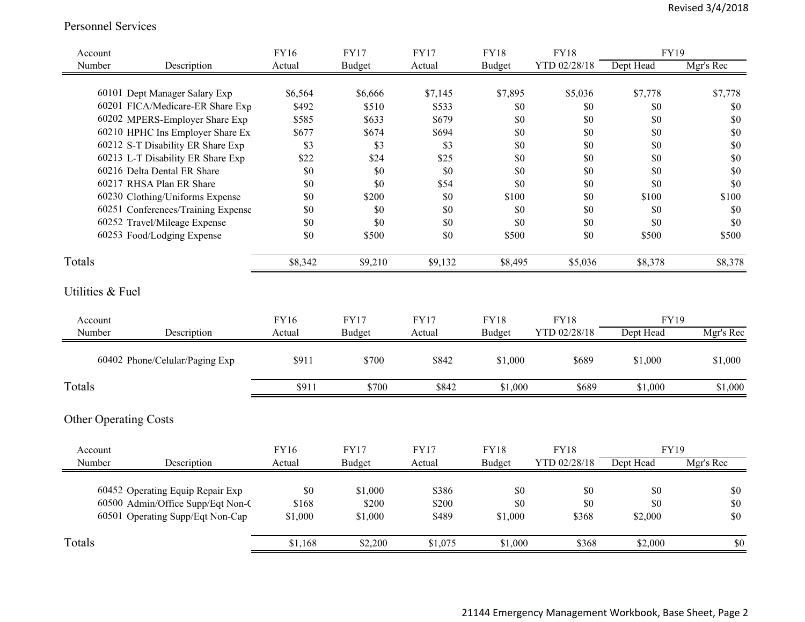#### Personnel Services

| Account                      |                                    | <b>FY16</b> | <b>FY17</b>   | <b>FY17</b> | <b>FY18</b>   | <b>FY18</b>  | <b>FY19</b> |           |
|------------------------------|------------------------------------|-------------|---------------|-------------|---------------|--------------|-------------|-----------|
| Number                       | Description                        | Actual      | <b>Budget</b> | Actual      | <b>Budget</b> | YTD 02/28/18 | Dept Head   | Mgr's Rec |
|                              |                                    |             |               |             |               |              |             |           |
|                              | 60101 Dept Manager Salary Exp      | \$6,564     | \$6,666       | \$7,145     | \$7,895       | \$5,036      | \$7,778     | \$7,778   |
|                              | 60201 FICA/Medicare-ER Share Exp   | \$492       | \$510         | \$533       | \$0           | \$0          | \$0         | \$0       |
|                              | 60202 MPERS-Employer Share Exp     | \$585       | \$633         | \$679       | \$0           | \$0          | \$0         | $\$0$     |
|                              | 60210 HPHC Ins Employer Share Ex   | \$677       | \$674         | \$694       | \$0           | \$0          | \$0         | \$0       |
|                              | 60212 S-T Disability ER Share Exp  | \$3         | \$3           | \$3         | \$0           | \$0          | \$0         | \$0       |
|                              | 60213 L-T Disability ER Share Exp  | \$22        | \$24          | \$25        | \$0           | \$0          | \$0         | $\$0$     |
|                              | 60216 Delta Dental ER Share        | \$0         | \$0           | \$0         | \$0           | \$0          | \$0         | \$0       |
|                              | 60217 RHSA Plan ER Share           | \$0         | \$0           | \$54        | \$0           | \$0          | \$0         | \$0       |
|                              | 60230 Clothing/Uniforms Expense    | \$0         | \$200         | \$0         | \$100         | \$0          | \$100       | \$100     |
|                              | 60251 Conferences/Training Expense | \$0         | \$0           | \$0         | \$0           | \$0          | \$0         | \$0       |
|                              | 60252 Travel/Mileage Expense       | \$0         | \$0           | \$0         | \$0           | \$0          | \$0         | $\$0$     |
|                              | 60253 Food/Lodging Expense         | \$0         | \$500         | \$0         | \$500         | \$0          | \$500       | \$500     |
| Totals                       |                                    | \$8,342     | \$9,210       | \$9,132     | \$8,495       | \$5,036      | \$8,378     | \$8,378   |
| Utilities & Fuel             |                                    |             |               |             |               |              |             |           |
| Account                      |                                    | <b>FY16</b> | <b>FY17</b>   | <b>FY17</b> | <b>FY18</b>   | <b>FY18</b>  | FY19        |           |
| Number                       | Description                        | Actual      | <b>Budget</b> | Actual      | Budget        | YTD 02/28/18 | Dept Head   | Mgr's Rec |
|                              | 60402 Phone/Celular/Paging Exp     | \$911       | \$700         | \$842       | \$1,000       | \$689        | \$1,000     | \$1,000   |
| Totals                       |                                    | \$911       | \$700         | \$842       | \$1,000       | \$689        | \$1,000     | \$1,000   |
| <b>Other Operating Costs</b> |                                    |             |               |             |               |              |             |           |
| Account                      |                                    | FY16        | <b>FY17</b>   | <b>FY17</b> | <b>FY18</b>   | <b>FY18</b>  | <b>FY19</b> |           |
| Number                       | Description                        | Actual      | Budget        | Actual      | Budget        | YTD 02/28/18 | Dept Head   | Mgr's Rec |
|                              | 60452 Operating Equip Repair Exp   | \$0         | \$1,000       | \$386       | \$0           | \$0          | \$0         | \$0       |
|                              | 60500 Admin/Office Supp/Eqt Non-C  | \$168       | \$200         | \$200       | \$0           | \$0          | \$0         | \$0       |
|                              | 60501 Operating Supp/Eqt Non-Cap   | \$1,000     | \$1,000       | \$489       | \$1,000       | \$368        | \$2,000     | \$0       |
| Totals                       |                                    | \$1,168     | \$2,200       | \$1,075     | \$1,000       | \$368        | \$2,000     | \$0       |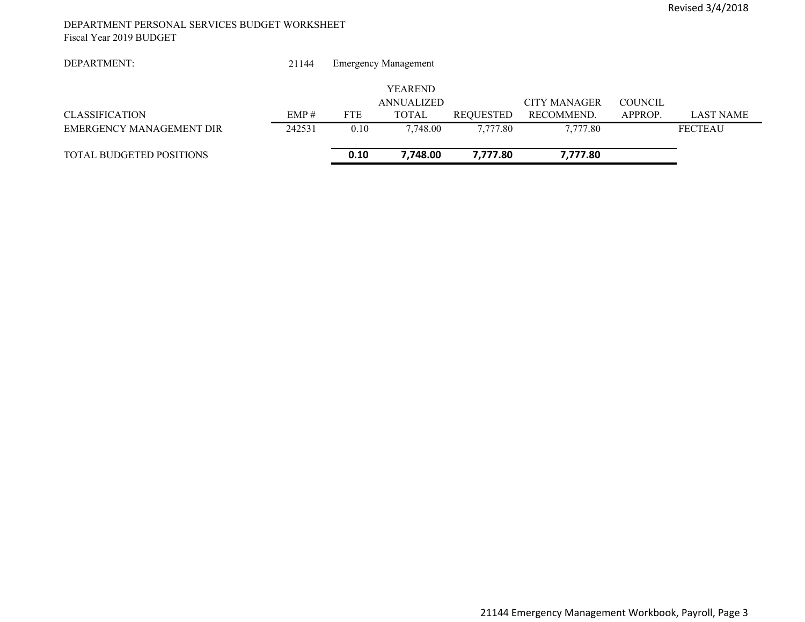#### DEPARTMENT PERSONAL SERVICES BUDGET WORKSHEET Fiscal Year 2019 BUDGET

| DEPARTMENT:              | 21144  |            | <b>Emergency Management</b> |                  |              |                |                  |
|--------------------------|--------|------------|-----------------------------|------------------|--------------|----------------|------------------|
|                          |        |            | <b>YEAREND</b>              |                  |              |                |                  |
|                          |        |            | ANNUALIZED                  |                  | CITY MANAGER | <b>COUNCIL</b> |                  |
| <b>CLASSIFICATION</b>    | EMP#   | <b>FTE</b> | TOTAL                       | <b>REQUESTED</b> | RECOMMEND.   | APPROP.        | <b>LAST NAME</b> |
| EMERGENCY MANAGEMENT DIR | 242531 | 0.10       | 7.748.00                    | 7.777.80         | 7,777.80     |                | <b>FECTEAU</b>   |
| TOTAL BUDGETED POSITIONS |        | 0.10       | 7.748.00                    | 7,777.80         | 7,777.80     |                |                  |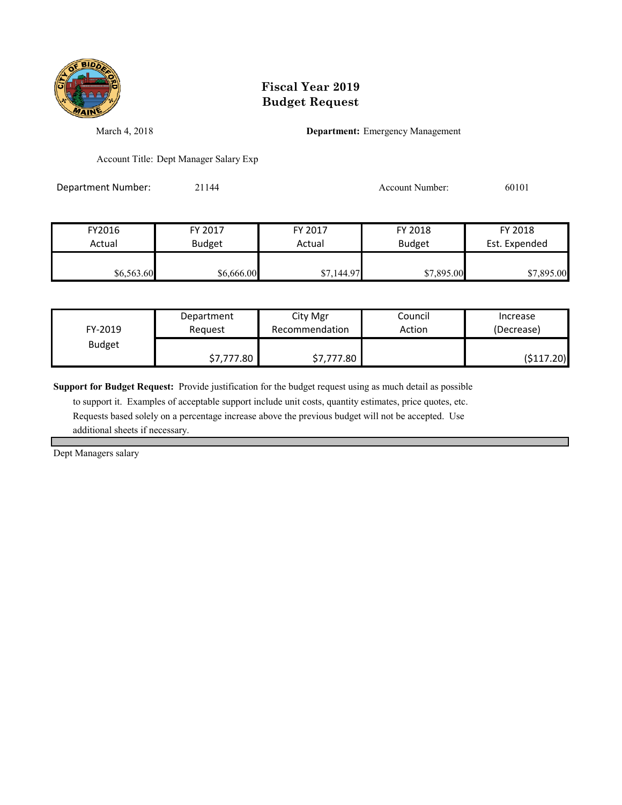

March 4, 2018 **Department:** Emergency Management

Account Title: Dept Manager Salary Exp

Department Number: 21144 21144 Account Number: 60101

| FY2016     | FY 2017       | FY 2017    | FY 2018       | FY 2018       |
|------------|---------------|------------|---------------|---------------|
| Actual     | <b>Budget</b> | Actual     | <b>Budget</b> | Est. Expended |
|            |               |            |               |               |
| \$6,563.60 | \$6,666.00    | \$7,144.97 | \$7,895.00    | \$7,895.00    |

| FY-2019       | Department | City Mgr       | Council | Increase   |
|---------------|------------|----------------|---------|------------|
|               | Reguest    | Recommendation | Action  | (Decrease) |
| <b>Budget</b> | \$7,777.80 | \$7,777.80     |         | (\$117.20) |

**Support for Budget Request:** Provide justification for the budget request using as much detail as possible

 to support it. Examples of acceptable support include unit costs, quantity estimates, price quotes, etc. Requests based solely on a percentage increase above the previous budget will not be accepted. Use additional sheets if necessary.

Dept Managers salary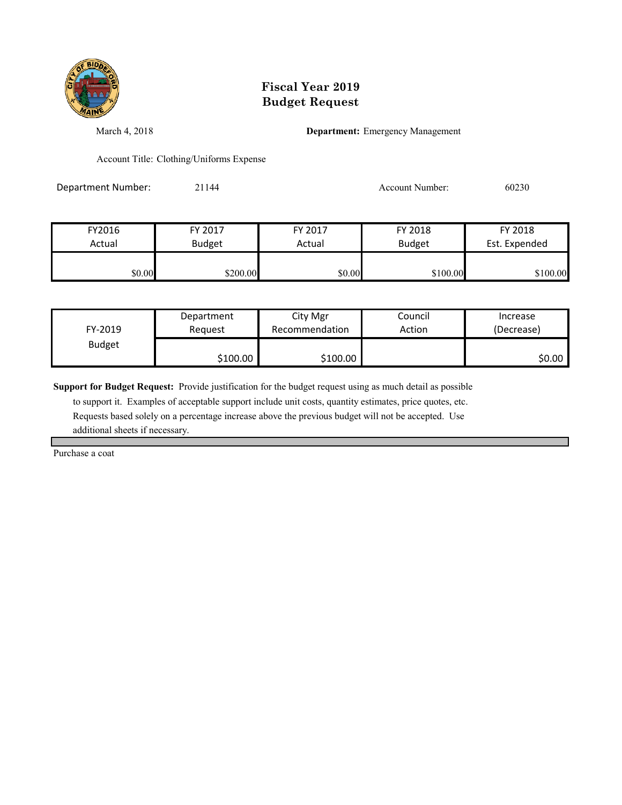

March 4, 2018 **Department:** Emergency Management

Account Title: Clothing/Uniforms Expense

Department Number: 21144 21144 Account Number: 60230

| FY2016 | FY 2017       | FY 2017 | FY 2018       | FY 2018       |
|--------|---------------|---------|---------------|---------------|
| Actual | <b>Budget</b> | Actual  | <b>Budget</b> | Est. Expended |
|        |               |         |               |               |
| \$0.00 | \$200.00      | \$0.00  | \$100.00      | \$100.00      |

| FY-2019       | Department | City Mgr       | Council | Increase   |
|---------------|------------|----------------|---------|------------|
|               | Reauest    | Recommendation | Action  | (Decrease) |
| <b>Budget</b> | \$100.00   | \$100.00       |         | \$0.00 l   |

**Support for Budget Request:** Provide justification for the budget request using as much detail as possible

 to support it. Examples of acceptable support include unit costs, quantity estimates, price quotes, etc. Requests based solely on a percentage increase above the previous budget will not be accepted. Use additional sheets if necessary.

Purchase a coat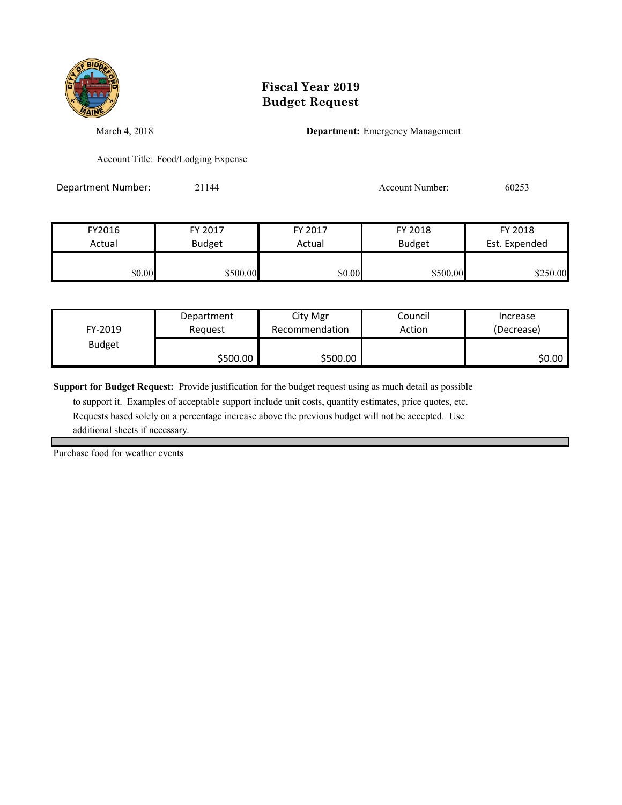

March 4, 2018 **Department:** Emergency Management

Account Title: Food/Lodging Expense

Department Number: 21144 21144 Account Number: 60253

| FY2016 | FY 2017       | FY 2017 | FY 2018       | FY 2018       |
|--------|---------------|---------|---------------|---------------|
| Actual | <b>Budget</b> | Actual  | <b>Budget</b> | Est. Expended |
| \$0.00 | \$500.00      | \$0.00  | \$500.00      | \$250.00      |

| FY-2019       | Department | City Mgr       | Council | Increase   |
|---------------|------------|----------------|---------|------------|
|               | Reauest    | Recommendation | Action  | (Decrease) |
| <b>Budget</b> | \$500.00   | \$500.00       |         | \$0.00∣    |

**Support for Budget Request:** Provide justification for the budget request using as much detail as possible

 to support it. Examples of acceptable support include unit costs, quantity estimates, price quotes, etc. Requests based solely on a percentage increase above the previous budget will not be accepted. Use additional sheets if necessary.

Purchase food for weather events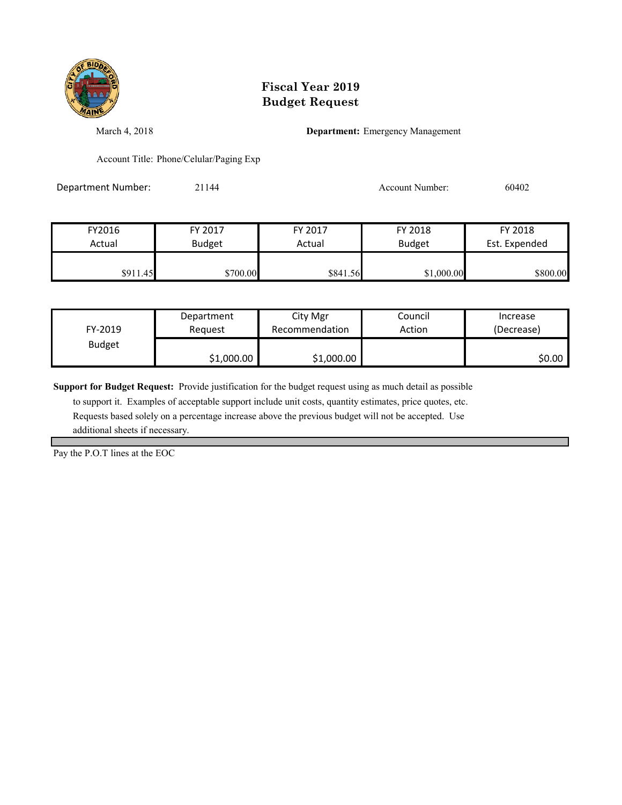

March 4, 2018 **Department:** Emergency Management

Account Title: Phone/Celular/Paging Exp

Department Number: 21144 21144 Account Number: 60402

| FY2016   | FY 2017       | FY 2017  | FY 2018                        | FY 2018  |
|----------|---------------|----------|--------------------------------|----------|
| Actual   | <b>Budget</b> | Actual   | <b>Budget</b><br>Est. Expended |          |
|          |               |          |                                |          |
| \$911.45 | \$700.00      | \$841.56 | \$1,000.00                     | \$800.00 |

| FY-2019       | Department | City Mgr       | Council | Increase   |
|---------------|------------|----------------|---------|------------|
|               | Reauest    | Recommendation | Action  | (Decrease) |
| <b>Budget</b> | \$1,000.00 | \$1,000.00     |         | \$0.00 l   |

**Support for Budget Request:** Provide justification for the budget request using as much detail as possible

 to support it. Examples of acceptable support include unit costs, quantity estimates, price quotes, etc. Requests based solely on a percentage increase above the previous budget will not be accepted. Use additional sheets if necessary.

Pay the P.O.T lines at the EOC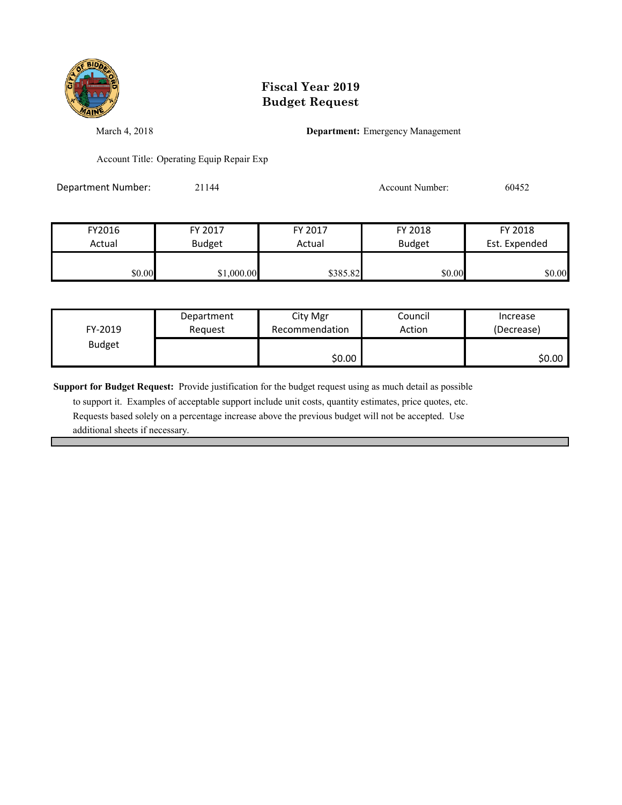

March 4, 2018 **Department:** Emergency Management

Account Title: Operating Equip Repair Exp

| Department Number: | 21144 | Account Number: | 60452 |
|--------------------|-------|-----------------|-------|
|                    |       |                 |       |

| FY2016 | FY 2017       | FY 2017  | FY 2018       | FY 2018       |
|--------|---------------|----------|---------------|---------------|
| Actual | <b>Budget</b> | Actual   | <b>Budget</b> | Est. Expended |
|        |               |          |               |               |
| \$0.00 | \$1,000.00    | \$385.82 | \$0.00        | \$0.00        |

| FY-2019       | Department | City Mgr       | Council | Increase   |
|---------------|------------|----------------|---------|------------|
|               | Request    | Recommendation | Action  | (Decrease) |
| <b>Budget</b> |            | \$0.00         |         | \$0.00     |

**Support for Budget Request:** Provide justification for the budget request using as much detail as possible

 to support it. Examples of acceptable support include unit costs, quantity estimates, price quotes, etc. Requests based solely on a percentage increase above the previous budget will not be accepted. Use additional sheets if necessary.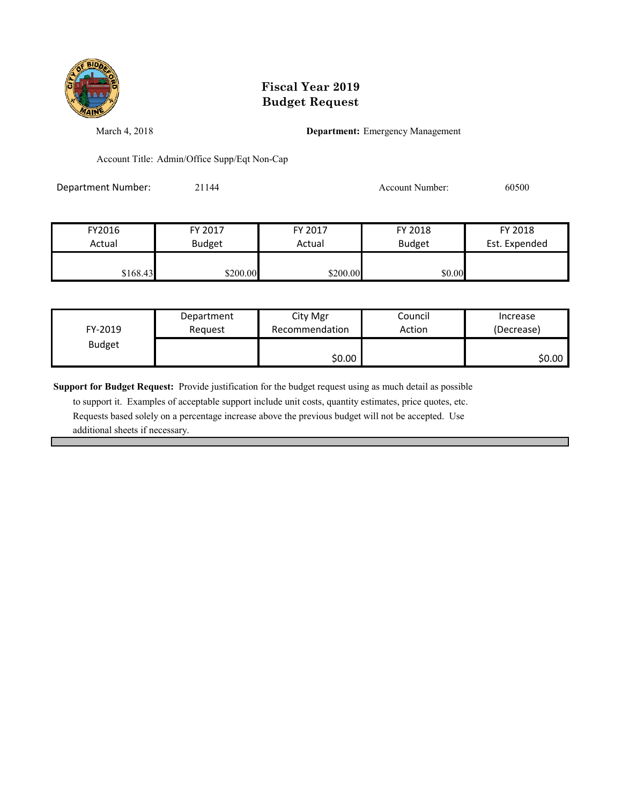

March 4, 2018 **Department:** Emergency Management

Account Title: Admin/Office Supp/Eqt Non-Cap

Department Number: 21144 21144 Account Number: 60500

| FY2016   | FY 2017       | FY 2017  | FY 2018       | FY 2018       |
|----------|---------------|----------|---------------|---------------|
| Actual   | <b>Budget</b> | Actual   | <b>Budget</b> | Est. Expended |
| \$168.43 | \$200.00      | \$200.00 | \$0.00        |               |

| FY-2019       | Department | City Mgr       | Council | Increase   |
|---------------|------------|----------------|---------|------------|
|               | Request    | Recommendation | Action  | (Decrease) |
| <b>Budget</b> |            | \$0.00         |         | \$0.00     |

**Support for Budget Request:** Provide justification for the budget request using as much detail as possible

 to support it. Examples of acceptable support include unit costs, quantity estimates, price quotes, etc. Requests based solely on a percentage increase above the previous budget will not be accepted. Use additional sheets if necessary.